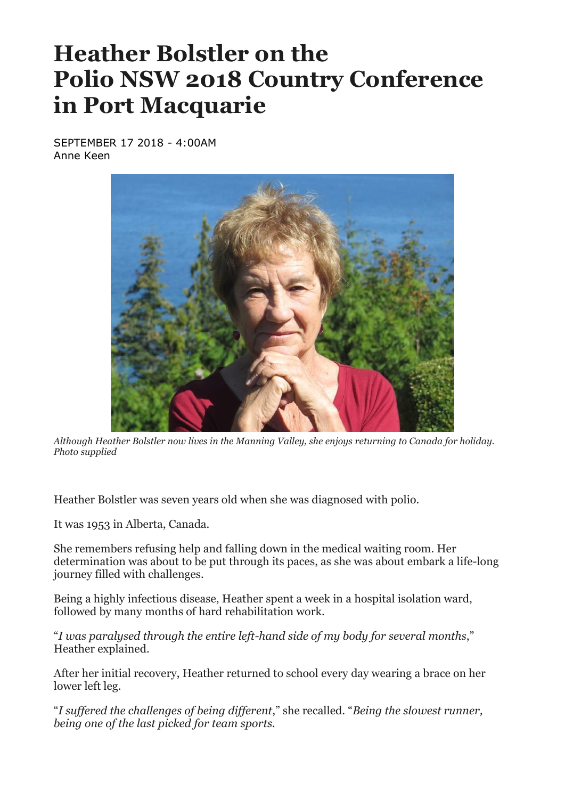## **Heather Bolstler on the Polio NSW 2018 Country Conference in Port Macquarie**

SEPTEMBER 17 2018 - 4:00AM Anne Keen



*Although Heather Bolstler now lives in the Manning Valley, she enjoys returning to Canada for holiday. Photo supplied*

Heather Bolstler was seven years old when she was diagnosed with polio.

It was 1953 in Alberta, Canada.

She remembers refusing help and falling down in the medical waiting room. Her determination was about to be put through its paces, as she was about embark a life-long journey filled with challenges.

Being a highly infectious disease, Heather spent a week in a hospital isolation ward, followed by many months of hard rehabilitation work.

"*I was paralysed through the entire left-hand side of my body for several months*," Heather explained.

After her initial recovery, Heather returned to school every day wearing a brace on her lower left leg.

"*I suffered the challenges of being different*," she recalled. "*Being the slowest runner, being one of the last picked for team sports.*